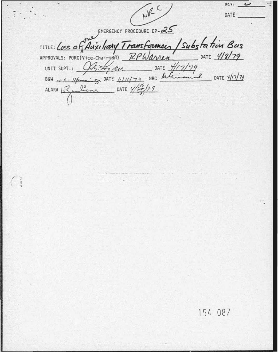NRC KEV.  $\overline{\phantom{0}}$ DATE EMERGENCY PROCEDURE EP-25 TITLE: Loss of Auxiliary Transformers / Substation Bus DATE 4/8/79 RPWarren APPROVALS: PORC(Vice-Chairman) BSW ... A Spinaing: DATE 4/14/79 DATE 4/17/79  $2^{100}$  DATE  $\frac{4}{17}$  79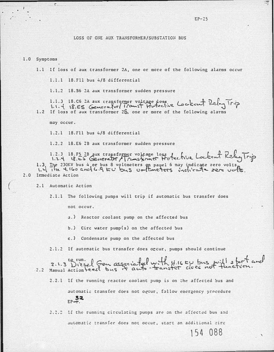## LOSS OF ONE AUX TRANSFORMER/SUBSTATION BUS

### 1.0 Symptoms

- 1.1 If loss of aux transformer 2A, one or more of the following alarms occur
	- 1.1.1 18.Fll bus 4/8 differential
	- 1.1.2 18.56 2A aux transformer sudden pressure

1.1.3 18.06 2A aux transformer voltage dose Lockent Rely Trip

may occur.

 $1.2.1$  18.711 bus  $4/8$  differential

1.2.2 18.E6 2B aux transformer sudden pressure

1.2.3 18.FS 28 aux trapsformer votrage loss to technic Lockent Relay Trip 1.3 The 230KV bus 4 or bus 8 voltmeters on panel 6 may indicate zero volts, 1.4 ille. 4.160 and 6.9  $\kappa v$  bus 00-lineters include zero volts. 2.0 Immediate Action

2.1 Automatic Action

2.1.1 The following pumps will trip if automatic bus transfer does

not occur.

- a.) Reactor coolant pump on the affected bus
- b.) Circ water pump(s) on the affected bus
- c.) Condensate pump on the affected bus

2.1.2 If automatic bus transfer does occur, pumps should continue

2.1.3 Diesel Gen associated with 4.16 EU bus will start and 2.2.1 If the running reactor coolant pump is on the affected bus and automatic transfer does not occur, follow emergency procedure  $EP = \frac{52}{5}$ 2.2.2 If the running circulating pumps are on the affected bus and

automatic transfer does not occur, start an additional circ

154 088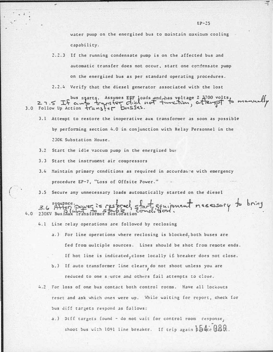water pump on the energized bus to maintain maximum cooling capability.

- 2.2.3 If the running condensate pump is on the affected bus and automatic transfer does not occur. start one condensate pump on the energized bus as per standard operating procedures.
- 2.2.4 Verify that the diesel generator associated with the lost

27.5 If awb transfer did not function, attempt to manually

- 3.1 Actempt to restore the inoperative aux transformer as soon as possible by performing section 4.0 in conjunction with Relay Personnel in the 230K Substation House.
- 3.2 Start the idle vaccum pump in the energized bu:
- 3.3 Start the instrument air compressors
- 3.4 Maintain primary conditions as required in accordance with emergency procedure EP-7, "Loss of Offsite Power."
- 3.5 Secure any unnecessary loads automatically started on the diesel

3.6 Affect power is responded start equipment necessary to bring  $4.0$  230KV Bus  $\frac{12.6}{100}$  Transformer Re

- 4.1 Line relay operations are followed by reclosing
	- a.) For line operations where reclosing is blocked, both buses are fed from multiple sources. Lines should be shot from remote ends. If hot line is indicated, close locally if breaker does not close.
	- b.) If auto transformer line clears do not shoot unless you are reduced to one s'urce and others fail attempts to close.
- 4.2 For loss of one bus contact both control rocms. Have all lockouts reset and ask which ones were up. While waiting for report, check for bus diff targets respond as follows:
	- a.) Diff targets found do not wait for control room response, shoot bus with 1091 line breaker. If trip again belief GBD.

 $EP-25$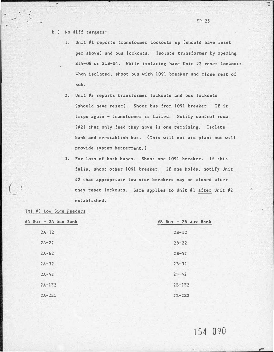## b.) No diff targets:

- 1. Unit #1 reports transformer lockouts up (should have reset per above) and bus lockouts. Isolate transformer by opening SlA-08 or SlB-04. While isolating have Unit 42 reset lockouts. When isolated, shoot bus with 1091 breaker and close rest of sub.
- 2. Unit �2 reports transformer lockouts and bus lockouts (should have reset). Shoot bus from 1091 breaker. If it trips again - transformer is failed. Notify control room  $(\#2)$  that only feed they have is one remaining. Isolate bank and reestablish bus. (This will not aid plant but will provide systea betterment.)
- 3. For loss of both buses. Shoot one 1091 breaker. If this fails, shoot other 1091 breaker. If one holds, notify Unit  $\theta$ 2 that appropriate low side breakers may be closed after they reset lockouts. Same applies to Unit #1 after Unit #2 established.

### TMI 42 Low Side Feeders

(

| $94$ Bus - 2A Aux Bank | $\#B$ Bus - 2B Aux Bank |
|------------------------|-------------------------|
| $2\lambda - 12$        | $2B-12$                 |
| $2\lambda - 22$        | $2B-22$                 |
| $2\lambda - 62$        | $2B-52$                 |
| $2A - 32$              | $2B - 32$               |
| $2A - 42$              | $2B-42$                 |
| $2\lambda - 1E2$       | $2B-1E2$                |
| $2A-2E$                | $2B-2E2$                |

# 154 090

 $\mathcal{L}^{\circ}$